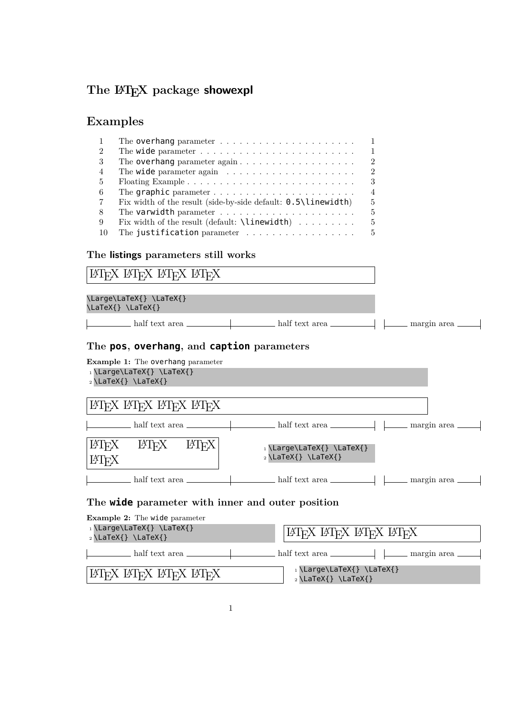# The  $\text{MTEX}$  package **showexpl**

# **Examples**

| $\mathbf{1}$   | $\overline{1}$                                                                               |
|----------------|----------------------------------------------------------------------------------------------|
| 2              | The wide parameter $\dots \dots \dots \dots \dots \dots \dots \dots \dots$<br>$\overline{1}$ |
| -3             | $\mathcal{D}$<br>The overhang parameter $again \ldots \ldots \ldots \ldots \ldots \ldots$    |
| $\overline{4}$ | $\overline{2}$<br>The wide parameter again $\ldots \ldots \ldots \ldots \ldots \ldots$       |
| -5             | 3                                                                                            |
| -6             | $\overline{4}$<br>The graphic parameter $\dots \dots \dots \dots \dots \dots \dots \dots$    |
| -7             | Fix width of the result (side-by-side default: $0.5\$ linewidth)<br>5                        |
| -8             | 5                                                                                            |
| -9             | Fix width of the result (default: $\langle$ linewidth)<br>5                                  |
| -10            | The justification parameter<br>$\overline{5}$                                                |

### **The listings parameters still works**

| ИТЕХ ИТЕХ ИТЕХ ИТЕХ                                                                                      |  |  |  |  |  |  |
|----------------------------------------------------------------------------------------------------------|--|--|--|--|--|--|
| \Large\LaTeX{} \LaTeX{}<br>\LaTeX{}\LaTeX{}                                                              |  |  |  |  |  |  |
|                                                                                                          |  |  |  |  |  |  |
| The pos, overhang, and caption parameters                                                                |  |  |  |  |  |  |
| <b>Example 1:</b> The overhang parameter                                                                 |  |  |  |  |  |  |
| $_1\$ Large\LaTeX{} \LaTeX{}<br>$_2\$ LaTeX{} \LaTeX{}                                                   |  |  |  |  |  |  |
|                                                                                                          |  |  |  |  |  |  |
| ИТЕХ ИТЕХ ИТЕХ ИТЕХ                                                                                      |  |  |  |  |  |  |
|                                                                                                          |  |  |  |  |  |  |
| <b>LAT<sub>F</sub>X</b><br>LAT <sub>EX</sub> LAT <sub>EX</sub><br>$_1 \text{Large}\text{?} \text{LaTeX}$ |  |  |  |  |  |  |
| $_2 \text{LaTeX}$ \LaTeX{}<br><b>IAT<sub>F</sub>X</b>                                                    |  |  |  |  |  |  |
|                                                                                                          |  |  |  |  |  |  |

## **The wide parameter with inner and outer position**

| <b>Example 2:</b> The wide parameter |                                                            |  |  |  |  |  |
|--------------------------------------|------------------------------------------------------------|--|--|--|--|--|
| 1\Large\LaTeX{}\LaTeX{}              | ЕЯТЕХ ЕЯТЕХ ЕЯТЕХ ЕЯТЕХ                                    |  |  |  |  |  |
| $_2 \setminus$ LaTeX{} \LaTeX{}      |                                                            |  |  |  |  |  |
| half text area                       |                                                            |  |  |  |  |  |
| ETRX ETRX ETRX ETRX                  | 1\Large\LaTeX{}\LaTeX{}<br>$_2 \setminus$ LaTeX{} \LaTeX{} |  |  |  |  |  |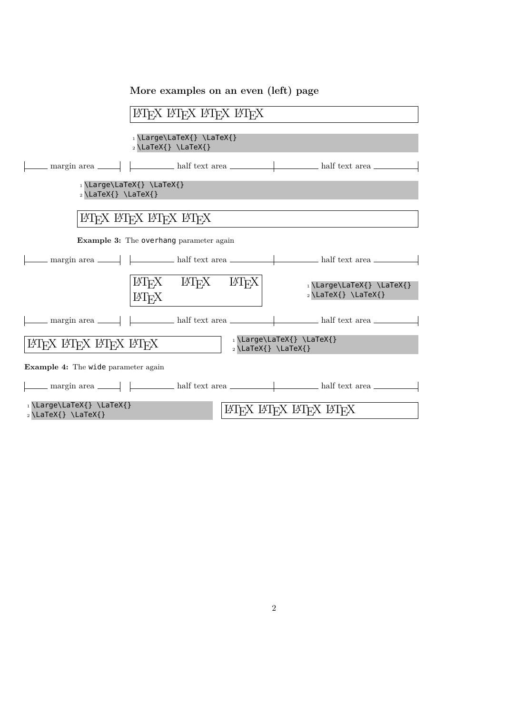| ИТЕХ ИТЕХ ИТЕХ ИТЕХ                                                                                                    |  |  |  |  |  |  |  |
|------------------------------------------------------------------------------------------------------------------------|--|--|--|--|--|--|--|
| 1\Large\LaTeX{}\LaTeX{}<br>$_2 \text{LaTeX}$ \LaTeX{}                                                                  |  |  |  |  |  |  |  |
|                                                                                                                        |  |  |  |  |  |  |  |
| 1\Large\LaTeX{}\LaTeX{}<br>$_2\$ LaTeX{} \LaTeX{}                                                                      |  |  |  |  |  |  |  |
| ІАТЕХ ІАТЕХ ІАТЕХ ІАТЕХ                                                                                                |  |  |  |  |  |  |  |
| <b>Example 3:</b> The overhang parameter again                                                                         |  |  |  |  |  |  |  |
| $\Box$ margin area $\Box$ $\Box$ half text area $\Box$ half text area $\Box$                                           |  |  |  |  |  |  |  |
| $\text{MTFX}$ $\text{MTFX}$ $\text{MTFX}$<br>1\Large\LaTeX{}\LaTeX{}<br>$_2 \setminus$ LaTeX{} \LaTeX{}<br><b>ETFX</b> |  |  |  |  |  |  |  |
|                                                                                                                        |  |  |  |  |  |  |  |
| 1\Large\LaTeX{} \LaTeX{}<br>LATEX LATEX LATEX<br>$_2\$ LaTeX{} \LaTeX{}                                                |  |  |  |  |  |  |  |
| <b>Example 4:</b> The wide parameter again                                                                             |  |  |  |  |  |  |  |
|                                                                                                                        |  |  |  |  |  |  |  |
| 1\Large\LaTeX{} \LaTeX{}<br>ИТЕХ ИТЕХ ИТЕХ ИТЕХ<br>$_2 \setminus$ LaTeX{} \LaTeX{}                                     |  |  |  |  |  |  |  |

## **More examples on an even (left) page**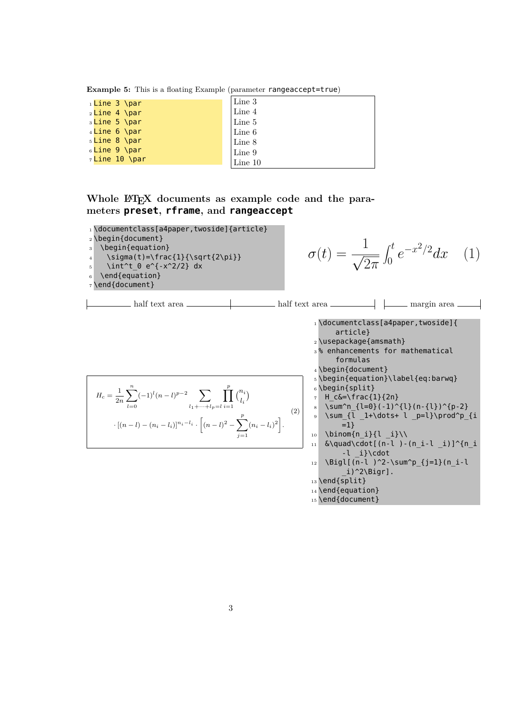**Example 5:** This is a floating Example (parameter rangeaccept=true)

| 1 Line 3 \par            | Line 3           |
|--------------------------|------------------|
| 2Line 4 \par             | Line 4           |
| <sub>3</sub> Line 5 \par | Line 5           |
| $_4$ Line 6 \par         | Line 6           |
| sLine 8 \par             | $\lfloor$ Line 8 |
| 6Line 9 \par             | Line 9           |
| 7Line 10 \par            | Line 10          |

### Whole  $\text{MTEX}$  documents as example code and the para**meters preset, rframe, and rangeaccept**

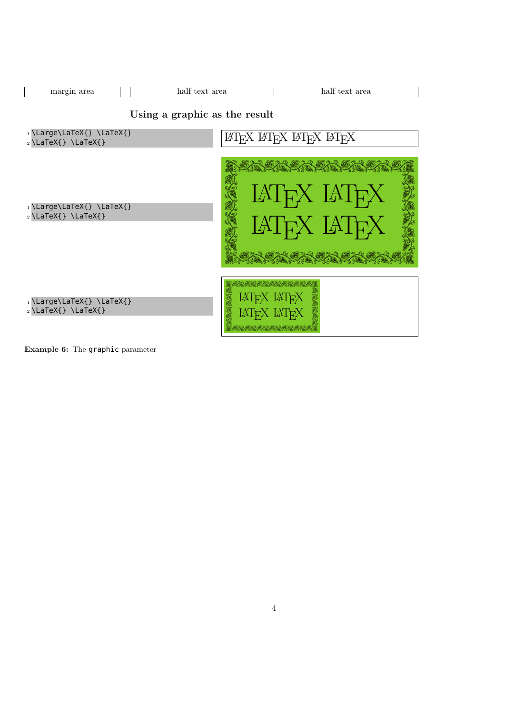| half text area<br>margin area $\_\_$                                                           | half text area                                                                                       |  |  |  |  |
|------------------------------------------------------------------------------------------------|------------------------------------------------------------------------------------------------------|--|--|--|--|
| Using a graphic as the result<br>$_1 \text{Large}\text{?} \text{L}$<br>ІЯГЕХ ІЯГЕХ ІЯГЕХ ІЯГЕХ |                                                                                                      |  |  |  |  |
| $_2 \setminus$ LaTeX{} \LaTeX{}<br>1\Large\LaTeX{}\LaTeX{}<br>$_2 \setminus$ LaTeX{} \LaTeX{}  | <b>SANCAR SANC</b><br>LAT <sub>F</sub> X LAT <sub>F</sub> X<br>LAT <sub>F</sub> X LAT <sub>F</sub> X |  |  |  |  |
| 1\Large\LaTeX{}\LaTeX{}<br>$_2 \setminus$ LaTeX{} \LaTeX{}                                     | LAT <sub>E</sub> X LAT <sub>E</sub> X<br>LAIFX LAIFX                                                 |  |  |  |  |

**Example 6:** The graphic parameter